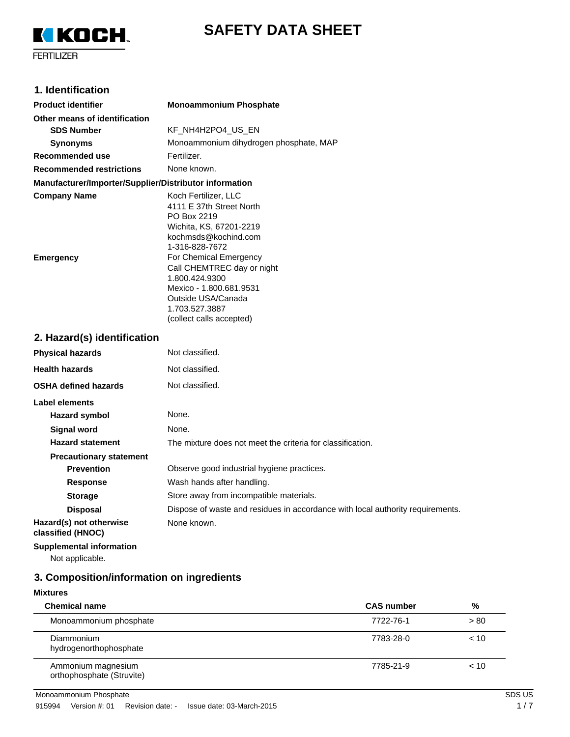



# **1. Identification**

| <b>Product identifier</b>                              | <b>Monoammonium Phosphate</b>                                                                                                                                                                                                                                                                                 |
|--------------------------------------------------------|---------------------------------------------------------------------------------------------------------------------------------------------------------------------------------------------------------------------------------------------------------------------------------------------------------------|
| Other means of identification                          |                                                                                                                                                                                                                                                                                                               |
| <b>SDS Number</b>                                      | KF_NH4H2PO4_US_EN                                                                                                                                                                                                                                                                                             |
| <b>Synonyms</b>                                        | Monoammonium dihydrogen phosphate, MAP                                                                                                                                                                                                                                                                        |
| Recommended use                                        | Fertilizer.                                                                                                                                                                                                                                                                                                   |
| <b>Recommended restrictions</b>                        | None known.                                                                                                                                                                                                                                                                                                   |
| Manufacturer/Importer/Supplier/Distributor information |                                                                                                                                                                                                                                                                                                               |
| <b>Company Name</b><br><b>Emergency</b>                | Koch Fertilizer, LLC<br>4111 E 37th Street North<br>PO Box 2219<br>Wichita, KS, 67201-2219<br>kochmsds@kochind.com<br>1-316-828-7672<br>For Chemical Emergency<br>Call CHEMTREC day or night<br>1.800.424.9300<br>Mexico - 1.800.681.9531<br>Outside USA/Canada<br>1.703.527.3887<br>(collect calls accepted) |
| 2. Hazard(s) identification                            |                                                                                                                                                                                                                                                                                                               |
| <b>Physical hazards</b>                                | Not classified.                                                                                                                                                                                                                                                                                               |
| <b>Health hazards</b>                                  | Not classified.                                                                                                                                                                                                                                                                                               |
| <b>OSHA defined hazards</b>                            | Not classified.                                                                                                                                                                                                                                                                                               |
| <b>Label elements</b>                                  |                                                                                                                                                                                                                                                                                                               |
| <b>Hazard symbol</b>                                   | None.                                                                                                                                                                                                                                                                                                         |
| <b>Signal word</b>                                     | None.                                                                                                                                                                                                                                                                                                         |
| <b>Hazard statement</b>                                | The mixture does not meet the criteria for classification.                                                                                                                                                                                                                                                    |
| <b>Precautionary statement</b>                         |                                                                                                                                                                                                                                                                                                               |
| <b>Prevention</b>                                      | Observe good industrial hygiene practices.                                                                                                                                                                                                                                                                    |
| Response                                               | Wash hands after handling.                                                                                                                                                                                                                                                                                    |
| <b>Storage</b>                                         | Store away from incompatible materials.                                                                                                                                                                                                                                                                       |
| <b>Disposal</b>                                        | Dispose of waste and residues in accordance with local authority requirements.                                                                                                                                                                                                                                |
| Hazard(s) not otherwise<br>classified (HNOC)           | None known.                                                                                                                                                                                                                                                                                                   |
| <b>Supplemental information</b>                        |                                                                                                                                                                                                                                                                                                               |

Not applicable.

# **3. Composition/information on ingredients**

### **Mixtures**

| <b>Chemical name</b>                            | <b>CAS</b> number | %    |
|-------------------------------------------------|-------------------|------|
| Monoammonium phosphate                          | 7722-76-1         | > 80 |
| <b>Diammonium</b><br>hydrogenorthophosphate     | 7783-28-0         | < 10 |
| Ammonium magnesium<br>orthophosphate (Struvite) | 7785-21-9         | < 10 |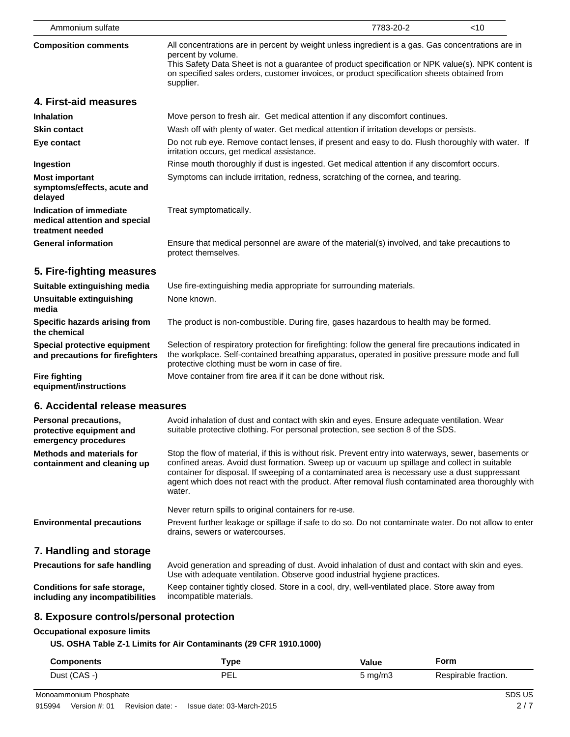| All concentrations are in percent by weight unless ingredient is a gas. Gas concentrations are in<br>percent by volume.<br>This Safety Data Sheet is not a guarantee of product specification or NPK value(s). NPK content is<br>on specified sales orders, customer invoices, or product specification sheets obtained from<br>supplier.<br>Move person to fresh air. Get medical attention if any discomfort continues. |  |
|---------------------------------------------------------------------------------------------------------------------------------------------------------------------------------------------------------------------------------------------------------------------------------------------------------------------------------------------------------------------------------------------------------------------------|--|
|                                                                                                                                                                                                                                                                                                                                                                                                                           |  |
|                                                                                                                                                                                                                                                                                                                                                                                                                           |  |
|                                                                                                                                                                                                                                                                                                                                                                                                                           |  |
| Wash off with plenty of water. Get medical attention if irritation develops or persists.                                                                                                                                                                                                                                                                                                                                  |  |
| Do not rub eye. Remove contact lenses, if present and easy to do. Flush thoroughly with water. If<br>irritation occurs, get medical assistance.                                                                                                                                                                                                                                                                           |  |
| Rinse mouth thoroughly if dust is ingested. Get medical attention if any discomfort occurs.                                                                                                                                                                                                                                                                                                                               |  |
| Symptoms can include irritation, redness, scratching of the cornea, and tearing.                                                                                                                                                                                                                                                                                                                                          |  |
| Treat symptomatically.                                                                                                                                                                                                                                                                                                                                                                                                    |  |
| Ensure that medical personnel are aware of the material(s) involved, and take precautions to<br>protect themselves.                                                                                                                                                                                                                                                                                                       |  |
|                                                                                                                                                                                                                                                                                                                                                                                                                           |  |
| Use fire-extinguishing media appropriate for surrounding materials.                                                                                                                                                                                                                                                                                                                                                       |  |
| None known.                                                                                                                                                                                                                                                                                                                                                                                                               |  |
| The product is non-combustible. During fire, gases hazardous to health may be formed.<br>Specific hazards arising from                                                                                                                                                                                                                                                                                                    |  |
| Selection of respiratory protection for firefighting: follow the general fire precautions indicated in<br>the workplace. Self-contained breathing apparatus, operated in positive pressure mode and full<br>protective clothing must be worn in case of fire.                                                                                                                                                             |  |
| Move container from fire area if it can be done without risk.                                                                                                                                                                                                                                                                                                                                                             |  |
| 6. Accidental release measures                                                                                                                                                                                                                                                                                                                                                                                            |  |

| <b>Personal precautions,</b><br>protective equipment and<br>emergency procedures | Avoid inhalation of dust and contact with skin and eyes. Ensure adequate ventilation. Wear<br>suitable protective clothing. For personal protection, see section 8 of the SDS.                                                                                                                                                                                                                                          |
|----------------------------------------------------------------------------------|-------------------------------------------------------------------------------------------------------------------------------------------------------------------------------------------------------------------------------------------------------------------------------------------------------------------------------------------------------------------------------------------------------------------------|
| Methods and materials for<br>containment and cleaning up                         | Stop the flow of material, if this is without risk. Prevent entry into waterways, sewer, basements or<br>confined areas. Avoid dust formation. Sweep up or vacuum up spillage and collect in suitable<br>container for disposal. If sweeping of a contaminated area is necessary use a dust suppressant<br>agent which does not react with the product. After removal flush contaminated area thoroughly with<br>water. |
|                                                                                  | Never return spills to original containers for re-use.                                                                                                                                                                                                                                                                                                                                                                  |
| <b>Environmental precautions</b>                                                 | Prevent further leakage or spillage if safe to do so. Do not contaminate water. Do not allow to enter<br>drains, sewers or watercourses.                                                                                                                                                                                                                                                                                |
| 7. Handling and storage                                                          |                                                                                                                                                                                                                                                                                                                                                                                                                         |
| <b>Precautions for safe handling</b>                                             | Avoid generation and spreading of dust. Avoid inhalation of dust and contact with skin and eves.                                                                                                                                                                                                                                                                                                                        |

| <b>Precautions for safe handling</b> | Avoid generation and spreading of dust. Avoid inhalation of dust and contact with skin and eyes.<br>Use with adequate ventilation. Observe good industrial hygiene practices. |
|--------------------------------------|-------------------------------------------------------------------------------------------------------------------------------------------------------------------------------|
| Conditions for safe storage.         | Keep container tightly closed. Store in a cool, dry, well-ventilated place. Store away from                                                                                   |
| including any incompatibilities      | incompatible materials.                                                                                                                                                       |

# **8. Exposure controls/personal protection**

# **Occupational exposure limits**

# **US. OSHA Table Z-1 Limits for Air Contaminants (29 CFR 1910.1000)**

| <b>Components</b> | Type     | <b>Value</b>     | <b>Form</b>          |
|-------------------|----------|------------------|----------------------|
| Dust (CAS -)      | ΡF<br>-- | $5 \text{ mg/m}$ | Respirable fraction. |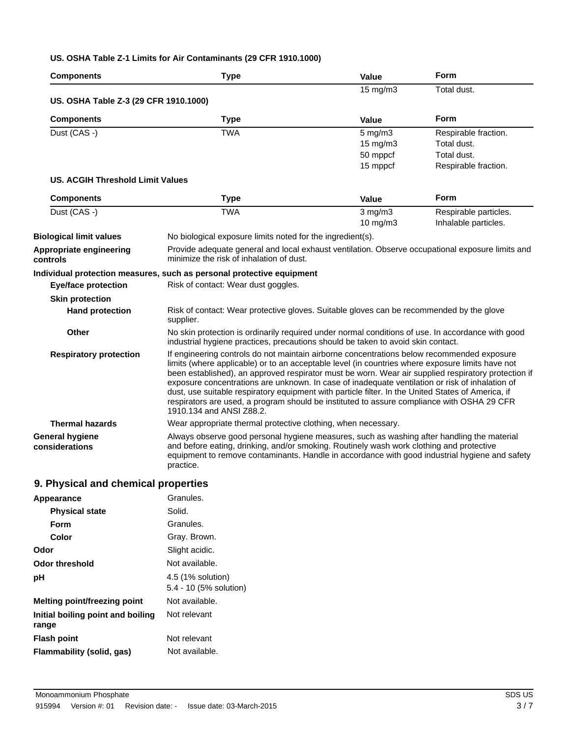## **US. OSHA Table Z-1 Limits for Air Contaminants (29 CFR 1910.1000)**

| <b>Components</b>                        | <b>Type</b>                                                                                                                                                                                                                                                                                                                                                                                                                                                                                                                                                                                                                              | Value             | <b>Form</b>           |
|------------------------------------------|------------------------------------------------------------------------------------------------------------------------------------------------------------------------------------------------------------------------------------------------------------------------------------------------------------------------------------------------------------------------------------------------------------------------------------------------------------------------------------------------------------------------------------------------------------------------------------------------------------------------------------------|-------------------|-----------------------|
|                                          |                                                                                                                                                                                                                                                                                                                                                                                                                                                                                                                                                                                                                                          | $15 \text{ mg/m}$ | Total dust.           |
| US. OSHA Table Z-3 (29 CFR 1910.1000)    |                                                                                                                                                                                                                                                                                                                                                                                                                                                                                                                                                                                                                                          |                   |                       |
| <b>Components</b>                        | <b>Type</b>                                                                                                                                                                                                                                                                                                                                                                                                                                                                                                                                                                                                                              | <b>Value</b>      | <b>Form</b>           |
| Dust (CAS -)                             | <b>TWA</b>                                                                                                                                                                                                                                                                                                                                                                                                                                                                                                                                                                                                                               | $5$ mg/m $3$      | Respirable fraction.  |
|                                          |                                                                                                                                                                                                                                                                                                                                                                                                                                                                                                                                                                                                                                          | $15 \text{ mg/m}$ | Total dust.           |
|                                          |                                                                                                                                                                                                                                                                                                                                                                                                                                                                                                                                                                                                                                          | 50 mppcf          | Total dust.           |
|                                          |                                                                                                                                                                                                                                                                                                                                                                                                                                                                                                                                                                                                                                          | 15 mppcf          | Respirable fraction.  |
| US. ACGIH Threshold Limit Values         |                                                                                                                                                                                                                                                                                                                                                                                                                                                                                                                                                                                                                                          |                   |                       |
| <b>Components</b>                        | <b>Type</b>                                                                                                                                                                                                                                                                                                                                                                                                                                                                                                                                                                                                                              | <b>Value</b>      | Form                  |
| Dust (CAS -)                             | <b>TWA</b>                                                                                                                                                                                                                                                                                                                                                                                                                                                                                                                                                                                                                               | $3$ mg/m $3$      | Respirable particles. |
|                                          |                                                                                                                                                                                                                                                                                                                                                                                                                                                                                                                                                                                                                                          | 10 mg/m3          | Inhalable particles.  |
| <b>Biological limit values</b>           | No biological exposure limits noted for the ingredient(s).                                                                                                                                                                                                                                                                                                                                                                                                                                                                                                                                                                               |                   |                       |
| Appropriate engineering<br>controls      | Provide adequate general and local exhaust ventilation. Observe occupational exposure limits and<br>minimize the risk of inhalation of dust.                                                                                                                                                                                                                                                                                                                                                                                                                                                                                             |                   |                       |
|                                          | Individual protection measures, such as personal protective equipment                                                                                                                                                                                                                                                                                                                                                                                                                                                                                                                                                                    |                   |                       |
| <b>Eye/face protection</b>               | Risk of contact: Wear dust goggles.                                                                                                                                                                                                                                                                                                                                                                                                                                                                                                                                                                                                      |                   |                       |
| <b>Skin protection</b>                   |                                                                                                                                                                                                                                                                                                                                                                                                                                                                                                                                                                                                                                          |                   |                       |
| <b>Hand protection</b>                   | Risk of contact: Wear protective gloves. Suitable gloves can be recommended by the glove<br>supplier.                                                                                                                                                                                                                                                                                                                                                                                                                                                                                                                                    |                   |                       |
| <b>Other</b>                             | No skin protection is ordinarily required under normal conditions of use. In accordance with good<br>industrial hygiene practices, precautions should be taken to avoid skin contact.                                                                                                                                                                                                                                                                                                                                                                                                                                                    |                   |                       |
| <b>Respiratory protection</b>            | If engineering controls do not maintain airborne concentrations below recommended exposure<br>limits (where applicable) or to an acceptable level (in countries where exposure limits have not<br>been established), an approved respirator must be worn. Wear air supplied respiratory protection if<br>exposure concentrations are unknown. In case of inadequate ventilation or risk of inhalation of<br>dust, use suitable respiratory equipment with particle filter. In the United States of America, if<br>respirators are used, a program should be instituted to assure compliance with OSHA 29 CFR<br>1910.134 and ANSI Z88.2. |                   |                       |
| <b>Thermal hazards</b>                   | Wear appropriate thermal protective clothing, when necessary.                                                                                                                                                                                                                                                                                                                                                                                                                                                                                                                                                                            |                   |                       |
| <b>General hygiene</b><br>considerations | Always observe good personal hygiene measures, such as washing after handling the material<br>and before eating, drinking, and/or smoking. Routinely wash work clothing and protective<br>equipment to remove contaminants. Handle in accordance with good industrial hygiene and safety<br>practice.                                                                                                                                                                                                                                                                                                                                    |                   |                       |
| Dhusiaal and ahamisal nuqnaution         |                                                                                                                                                                                                                                                                                                                                                                                                                                                                                                                                                                                                                                          |                   |                       |

# **9. Physical and chemical properties**

| Granules.                                   |
|---------------------------------------------|
| Solid.                                      |
| Granules.                                   |
| Gray. Brown.                                |
| Slight acidic.                              |
| Not available.                              |
| 4.5 (1% solution)<br>5.4 - 10 (5% solution) |
| Not available.                              |
| Not relevant                                |
| Not relevant                                |
| Not available.                              |
|                                             |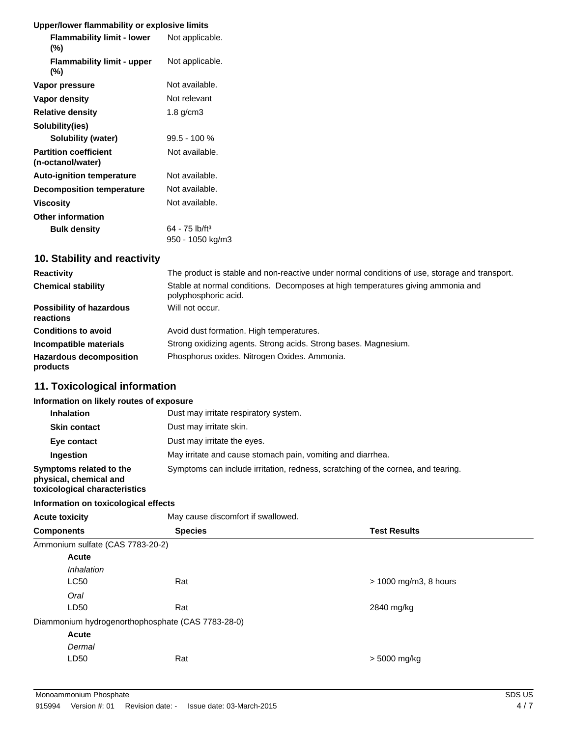## **Upper/lower flammability or explosive limits**

| <b>Flammability limit - lower</b><br>(%)          | Not applicable.              |
|---------------------------------------------------|------------------------------|
| <b>Flammability limit - upper</b><br>(%)          | Not applicable.              |
| Vapor pressure                                    | Not available.               |
| Vapor density                                     | Not relevant                 |
| <b>Relative density</b>                           | $1.8$ g/cm $3$               |
| Solubility(ies)                                   |                              |
| <b>Solubility (water)</b>                         | 99.5 - 100 %                 |
| <b>Partition coefficient</b><br>(n-octanol/water) | Not available.               |
| <b>Auto-ignition temperature</b>                  | Not available.               |
| <b>Decomposition temperature</b>                  | Not available.               |
| Viscosity                                         | Not available.               |
| <b>Other information</b>                          |                              |
| <b>Bulk density</b>                               | $64 - 75$ lb/ft <sup>3</sup> |
|                                                   | 950 - 1050 kg/m3             |

# **10. Stability and reactivity**

| <b>Reactivity</b>                            | The product is stable and non-reactive under normal conditions of use, storage and transport.           |  |
|----------------------------------------------|---------------------------------------------------------------------------------------------------------|--|
| <b>Chemical stability</b>                    | Stable at normal conditions. Decomposes at high temperatures giving ammonia and<br>polyphosphoric acid. |  |
| <b>Possibility of hazardous</b><br>reactions | Will not occur.                                                                                         |  |
| <b>Conditions to avoid</b>                   | Avoid dust formation. High temperatures.                                                                |  |
| Incompatible materials                       | Strong oxidizing agents. Strong acids. Strong bases. Magnesium.                                         |  |
| <b>Hazardous decomposition</b><br>products   | Phosphorus oxides. Nitrogen Oxides. Ammonia.                                                            |  |

# **11. Toxicological information**

## **Information on likely routes of exposure**

| <b>Inhalation</b>                                                                  | Dust may irritate respiratory system.                                            |
|------------------------------------------------------------------------------------|----------------------------------------------------------------------------------|
| <b>Skin contact</b>                                                                | Dust may irritate skin.                                                          |
| Eye contact                                                                        | Dust may irritate the eyes.                                                      |
| Ingestion                                                                          | May irritate and cause stomach pain, vomiting and diarrhea.                      |
| Symptoms related to the<br>physical, chemical and<br>toxicological characteristics | Symptoms can include irritation, redness, scratching of the cornea, and tearing. |

## **Information on toxicological effects**

| <b>Acute toxicity</b> |                                  | May cause discomfort if swallowed.                |                         |
|-----------------------|----------------------------------|---------------------------------------------------|-------------------------|
| <b>Components</b>     |                                  | <b>Species</b>                                    | <b>Test Results</b>     |
|                       | Ammonium sulfate (CAS 7783-20-2) |                                                   |                         |
|                       | <b>Acute</b>                     |                                                   |                         |
|                       | <i><b>Inhalation</b></i>         |                                                   |                         |
|                       | <b>LC50</b>                      | Rat                                               | $> 1000$ mg/m3, 8 hours |
|                       | Oral                             |                                                   |                         |
|                       | LD50                             | Rat                                               | 2840 mg/kg              |
|                       |                                  | Diammonium hydrogenorthophosphate (CAS 7783-28-0) |                         |
|                       | <b>Acute</b>                     |                                                   |                         |
|                       | Dermal                           |                                                   |                         |
|                       | LD50                             | Rat                                               | $> 5000$ mg/kg          |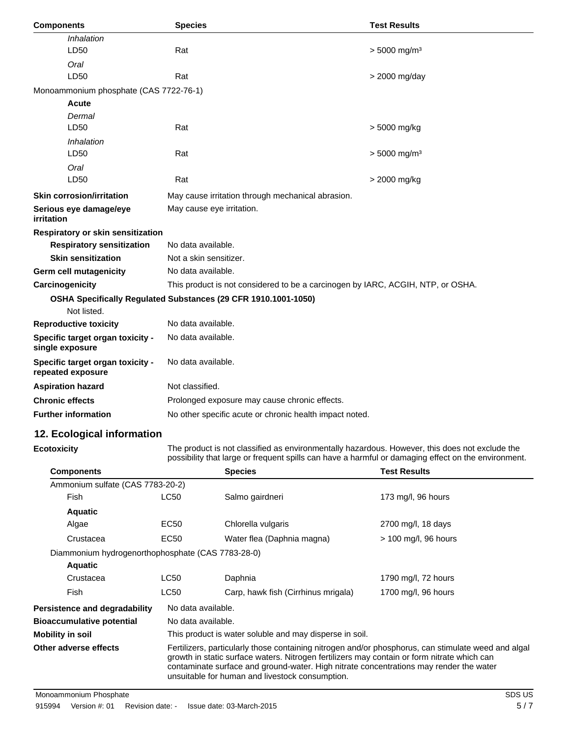| <b>Components</b>                                     | <b>Species</b>                                                                  | <b>Test Results</b>        |
|-------------------------------------------------------|---------------------------------------------------------------------------------|----------------------------|
| Inhalation                                            |                                                                                 |                            |
| LD50                                                  | Rat                                                                             | $> 5000$ mg/m <sup>3</sup> |
| Oral                                                  |                                                                                 |                            |
| LD50                                                  | Rat                                                                             | > 2000 mg/day              |
| Monoammonium phosphate (CAS 7722-76-1)                |                                                                                 |                            |
| <b>Acute</b>                                          |                                                                                 |                            |
| Dermal                                                |                                                                                 |                            |
| LD50                                                  | Rat                                                                             | > 5000 mg/kg               |
| Inhalation                                            |                                                                                 |                            |
| LD50                                                  | Rat                                                                             | $> 5000$ mg/m <sup>3</sup> |
| Oral                                                  |                                                                                 |                            |
| LD50                                                  | Rat                                                                             | > 2000 mg/kg               |
| <b>Skin corrosion/irritation</b>                      | May cause irritation through mechanical abrasion.                               |                            |
| Serious eye damage/eye<br>irritation                  | May cause eye irritation.                                                       |                            |
| Respiratory or skin sensitization                     |                                                                                 |                            |
| <b>Respiratory sensitization</b>                      | No data available.                                                              |                            |
| <b>Skin sensitization</b>                             | Not a skin sensitizer.                                                          |                            |
| <b>Germ cell mutagenicity</b>                         | No data available.                                                              |                            |
| Carcinogenicity                                       | This product is not considered to be a carcinogen by IARC, ACGIH, NTP, or OSHA. |                            |
|                                                       | OSHA Specifically Regulated Substances (29 CFR 1910.1001-1050)                  |                            |
| Not listed.                                           |                                                                                 |                            |
| <b>Reproductive toxicity</b>                          | No data available.                                                              |                            |
| Specific target organ toxicity -<br>single exposure   | No data available.                                                              |                            |
| Specific target organ toxicity -<br>repeated exposure | No data available.                                                              |                            |
| <b>Aspiration hazard</b>                              | Not classified.                                                                 |                            |
| <b>Chronic effects</b>                                | Prolonged exposure may cause chronic effects.                                   |                            |
| <b>Further information</b>                            | No other specific acute or chronic health impact noted.                         |                            |

# **12. Ecological information**

**Ecotoxicity** The product is not classified as environmentally hazardous. However, this does not exclude the possibility that large or frequent spills can have a harmful or damaging effect on the environment.

| <b>Components</b>                                 |                                                                                                                                                                                                                                                                                                                                                 | <b>Species</b>                                          | <b>Test Results</b>    |  |
|---------------------------------------------------|-------------------------------------------------------------------------------------------------------------------------------------------------------------------------------------------------------------------------------------------------------------------------------------------------------------------------------------------------|---------------------------------------------------------|------------------------|--|
| Ammonium sulfate (CAS 7783-20-2)                  |                                                                                                                                                                                                                                                                                                                                                 |                                                         |                        |  |
| <b>Fish</b>                                       | <b>LC50</b>                                                                                                                                                                                                                                                                                                                                     | Salmo gairdneri                                         | 173 mg/l, 96 hours     |  |
| <b>Aquatic</b>                                    |                                                                                                                                                                                                                                                                                                                                                 |                                                         |                        |  |
| Algae                                             | EC <sub>50</sub>                                                                                                                                                                                                                                                                                                                                | Chlorella vulgaris                                      | 2700 mg/l, 18 days     |  |
| Crustacea                                         | EC <sub>50</sub>                                                                                                                                                                                                                                                                                                                                | Water flea (Daphnia magna)                              | $>$ 100 mg/l, 96 hours |  |
| Diammonium hydrogenorthophosphate (CAS 7783-28-0) |                                                                                                                                                                                                                                                                                                                                                 |                                                         |                        |  |
| <b>Aquatic</b>                                    |                                                                                                                                                                                                                                                                                                                                                 |                                                         |                        |  |
| Crustacea                                         | <b>LC50</b>                                                                                                                                                                                                                                                                                                                                     | Daphnia                                                 | 1790 mg/l, 72 hours    |  |
| <b>Fish</b>                                       | <b>LC50</b>                                                                                                                                                                                                                                                                                                                                     | Carp, hawk fish (Cirrhinus mrigala)                     | 1700 mg/l, 96 hours    |  |
| Persistence and degradability                     | No data available.                                                                                                                                                                                                                                                                                                                              |                                                         |                        |  |
| <b>Bioaccumulative potential</b>                  |                                                                                                                                                                                                                                                                                                                                                 | No data available.                                      |                        |  |
| Mobility in soil                                  |                                                                                                                                                                                                                                                                                                                                                 | This product is water soluble and may disperse in soil. |                        |  |
| Other adverse effects                             | Fertilizers, particularly those containing nitrogen and/or phosphorus, can stimulate weed and algal<br>growth in static surface waters. Nitrogen fertilizers may contain or form nitrate which can<br>contaminate surface and ground-water. High nitrate concentrations may render the water<br>unsuitable for human and livestock consumption. |                                                         |                        |  |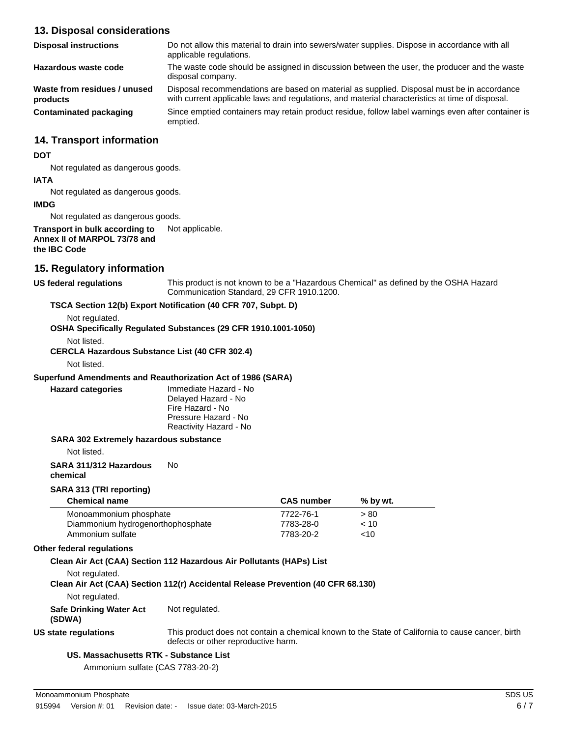## **13. Disposal considerations**

| <b>Disposal instructions</b>             | Do not allow this material to drain into sewers/water supplies. Dispose in accordance with all<br>applicable regulations.                                                                     |  |
|------------------------------------------|-----------------------------------------------------------------------------------------------------------------------------------------------------------------------------------------------|--|
| Hazardous waste code                     | The waste code should be assigned in discussion between the user, the producer and the waste<br>disposal company.                                                                             |  |
| Waste from residues / unused<br>products | Disposal recommendations are based on material as supplied. Disposal must be in accordance<br>with current applicable laws and regulations, and material characteristics at time of disposal. |  |
| Contaminated packaging                   | Since emptied containers may retain product residue, follow label warnings even after container is<br>emptied.                                                                                |  |

## **14. Transport information**

## **DOT**

Not regulated as dangerous goods.

# **IATA**

Not regulated as dangerous goods.

## **IMDG**

Not regulated as dangerous goods.

**Transport in bulk according to** Not applicable. **Annex II of MARPOL 73/78 and the IBC Code**

## **15. Regulatory information**

**US federal regulations** This product is not known to be a "Hazardous Chemical" as defined by the OSHA Hazard Communication Standard, 29 CFR 1910.1200.

## **TSCA Section 12(b) Export Notification (40 CFR 707, Subpt. D)**

Not regulated.

**OSHA Specifically Regulated Substances (29 CFR 1910.1001-1050)**

Not listed.

**CERCLA Hazardous Substance List (40 CFR 302.4)**

Not listed.

## **Superfund Amendments and Reauthorization Act of 1986 (SARA)**

**Hazard categories** Immediate Hazard - No Delayed Hazard - No Fire Hazard - No Pressure Hazard - No Reactivity Hazard - No

## **SARA 302 Extremely hazardous substance**

Not listed.

**SARA 311/312 Hazardous** No

**chemical**

## **SARA 313 (TRI reporting)**

| <b>Chemical name</b>              | <b>CAS number</b> | % by wt. |  |
|-----------------------------------|-------------------|----------|--|
| Monoammonium phosphate            | 7722-76-1         | > 80     |  |
| Diammonium hydrogenorthophosphate | 7783-28-0         | ~10      |  |
| Ammonium sulfate                  | 7783-20-2         | <10      |  |

## **Other federal regulations**

## **Clean Air Act (CAA) Section 112 Hazardous Air Pollutants (HAPs) List**

Not regulated.

**Clean Air Act (CAA) Section 112(r) Accidental Release Prevention (40 CFR 68.130)**

Not regulated.

**Safe Drinking Water Act** Not regulated.

**(SDWA)**

**US state regulations** This product does not contain a chemical known to the State of California to cause cancer, birth defects or other reproductive harm.

## **US. Massachusetts RTK - Substance List**

Ammonium sulfate (CAS 7783-20-2)